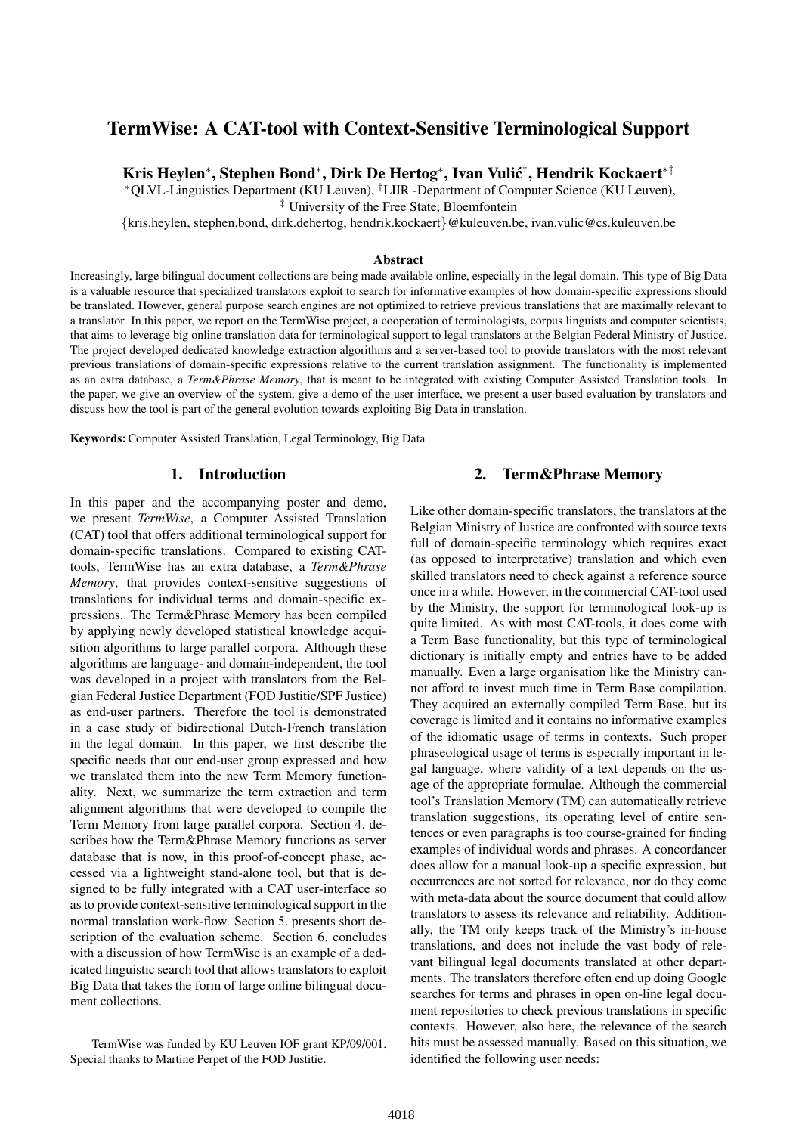# TermWise: A CAT-tool with Context-Sensitive Terminological Support

Kris Heylen\*, Stephen Bond\*, Dirk De Hertog\*, Ivan Vulić<sup>†</sup>, Hendrik Kockaert\*<sup>‡</sup>

<sup>∗</sup>QLVL-Linguistics Department (KU Leuven), †LIIR -Department of Computer Science (KU Leuven),

‡ University of the Free State, Bloemfontein

{kris.heylen, stephen.bond, dirk.dehertog, hendrik.kockaert}@kuleuven.be, ivan.vulic@cs.kuleuven.be

### Abstract

Increasingly, large bilingual document collections are being made available online, especially in the legal domain. This type of Big Data is a valuable resource that specialized translators exploit to search for informative examples of how domain-specific expressions should be translated. However, general purpose search engines are not optimized to retrieve previous translations that are maximally relevant to a translator. In this paper, we report on the TermWise project, a cooperation of terminologists, corpus linguists and computer scientists, that aims to leverage big online translation data for terminological support to legal translators at the Belgian Federal Ministry of Justice. The project developed dedicated knowledge extraction algorithms and a server-based tool to provide translators with the most relevant previous translations of domain-specific expressions relative to the current translation assignment. The functionality is implemented as an extra database, a *Term&Phrase Memory*, that is meant to be integrated with existing Computer Assisted Translation tools. In the paper, we give an overview of the system, give a demo of the user interface, we present a user-based evaluation by translators and discuss how the tool is part of the general evolution towards exploiting Big Data in translation.

Keywords:Computer Assisted Translation, Legal Terminology, Big Data

#### 1. Introduction

In this paper and the accompanying poster and demo, we present *TermWise*, a Computer Assisted Translation (CAT) tool that offers additional terminological support for domain-specific translations. Compared to existing CATtools, TermWise has an extra database, a *Term&Phrase Memory*, that provides context-sensitive suggestions of translations for individual terms and domain-specific expressions. The Term&Phrase Memory has been compiled by applying newly developed statistical knowledge acquisition algorithms to large parallel corpora. Although these algorithms are language- and domain-independent, the tool was developed in a project with translators from the Belgian Federal Justice Department (FOD Justitie/SPF Justice) as end-user partners. Therefore the tool is demonstrated in a case study of bidirectional Dutch-French translation in the legal domain. In this paper, we first describe the specific needs that our end-user group expressed and how we translated them into the new Term Memory functionality. Next, we summarize the term extraction and term alignment algorithms that were developed to compile the Term Memory from large parallel corpora. Section 4. describes how the Term&Phrase Memory functions as server database that is now, in this proof-of-concept phase, accessed via a lightweight stand-alone tool, but that is designed to be fully integrated with a CAT user-interface so as to provide context-sensitive terminological support in the normal translation work-flow. Section 5. presents short description of the evaluation scheme. Section 6. concludes with a discussion of how TermWise is an example of a dedicated linguistic search tool that allows translators to exploit Big Data that takes the form of large online bilingual document collections.

2. Term&Phrase Memory

Like other domain-specific translators, the translators at the Belgian Ministry of Justice are confronted with source texts full of domain-specific terminology which requires exact (as opposed to interpretative) translation and which even skilled translators need to check against a reference source once in a while. However, in the commercial CAT-tool used by the Ministry, the support for terminological look-up is quite limited. As with most CAT-tools, it does come with a Term Base functionality, but this type of terminological dictionary is initially empty and entries have to be added manually. Even a large organisation like the Ministry cannot afford to invest much time in Term Base compilation. They acquired an externally compiled Term Base, but its coverage is limited and it contains no informative examples of the idiomatic usage of terms in contexts. Such proper phraseological usage of terms is especially important in legal language, where validity of a text depends on the usage of the appropriate formulae. Although the commercial tool's Translation Memory (TM) can automatically retrieve translation suggestions, its operating level of entire sentences or even paragraphs is too course-grained for finding examples of individual words and phrases. A concordancer does allow for a manual look-up a specific expression, but occurrences are not sorted for relevance, nor do they come with meta-data about the source document that could allow translators to assess its relevance and reliability. Additionally, the TM only keeps track of the Ministry's in-house translations, and does not include the vast body of relevant bilingual legal documents translated at other departments. The translators therefore often end up doing Google searches for terms and phrases in open on-line legal document repositories to check previous translations in specific contexts. However, also here, the relevance of the search hits must be assessed manually. Based on this situation, we identified the following user needs:

TermWise was funded by KU Leuven IOF grant KP/09/001. Special thanks to Martine Perpet of the FOD Justitie.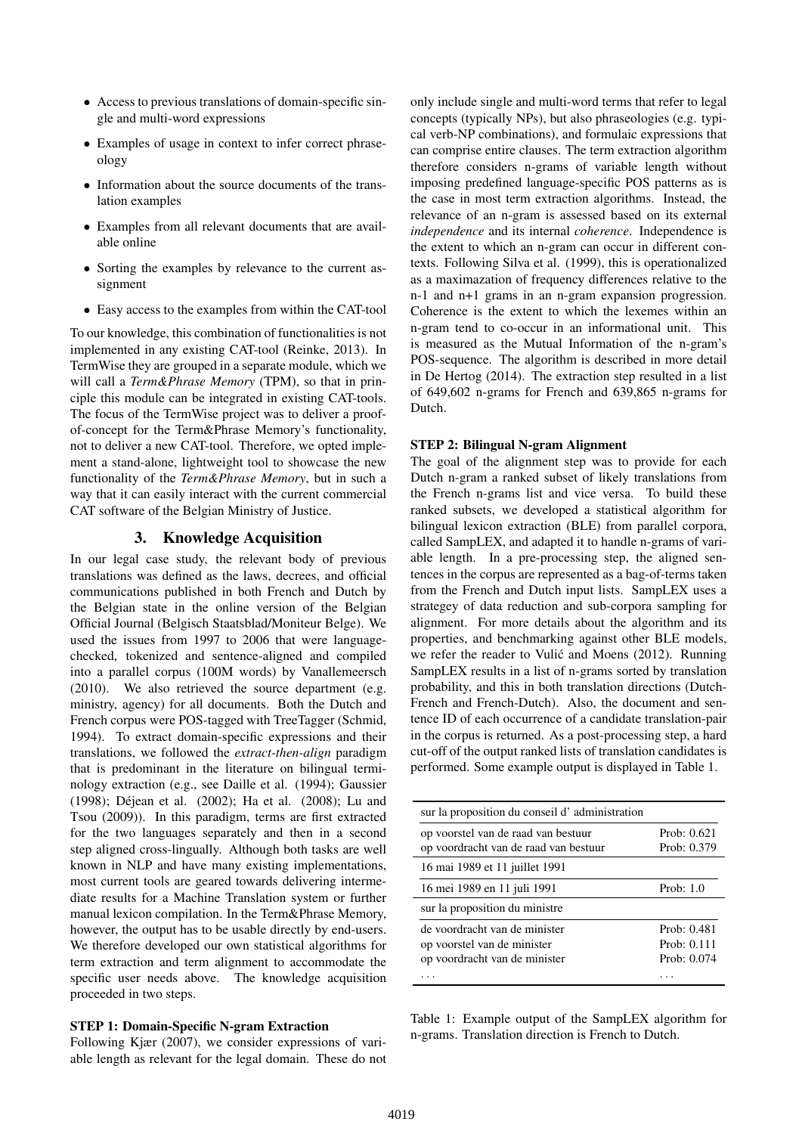- Access to previous translations of domain-specific single and multi-word expressions
- Examples of usage in context to infer correct phraseology
- Information about the source documents of the translation examples
- Examples from all relevant documents that are available online
- Sorting the examples by relevance to the current assignment
- Easy access to the examples from within the CAT-tool

To our knowledge, this combination of functionalities is not implemented in any existing CAT-tool (Reinke, 2013). In TermWise they are grouped in a separate module, which we will call a *Term&Phrase Memory* (TPM), so that in principle this module can be integrated in existing CAT-tools. The focus of the TermWise project was to deliver a proofof-concept for the Term&Phrase Memory's functionality, not to deliver a new CAT-tool. Therefore, we opted implement a stand-alone, lightweight tool to showcase the new functionality of the *Term&Phrase Memory*, but in such a way that it can easily interact with the current commercial CAT software of the Belgian Ministry of Justice.

# 3. Knowledge Acquisition

In our legal case study, the relevant body of previous translations was defined as the laws, decrees, and official communications published in both French and Dutch by the Belgian state in the online version of the Belgian Official Journal (Belgisch Staatsblad/Moniteur Belge). We used the issues from 1997 to 2006 that were languagechecked, tokenized and sentence-aligned and compiled into a parallel corpus (100M words) by Vanallemeersch (2010). We also retrieved the source department (e.g. ministry, agency) for all documents. Both the Dutch and French corpus were POS-tagged with TreeTagger (Schmid, 1994). To extract domain-specific expressions and their translations, we followed the *extract-then-align* paradigm that is predominant in the literature on bilingual terminology extraction (e.g., see Daille et al. (1994); Gaussier (1998); Déjean et al. (2002); Ha et al. (2008); Lu and Tsou (2009)). In this paradigm, terms are first extracted for the two languages separately and then in a second step aligned cross-lingually. Although both tasks are well known in NLP and have many existing implementations, most current tools are geared towards delivering intermediate results for a Machine Translation system or further manual lexicon compilation. In the Term&Phrase Memory, however, the output has to be usable directly by end-users. We therefore developed our own statistical algorithms for term extraction and term alignment to accommodate the specific user needs above. The knowledge acquisition proceeded in two steps.

### STEP 1: Domain-Specific N-gram Extraction

Following Kjær (2007), we consider expressions of variable length as relevant for the legal domain. These do not only include single and multi-word terms that refer to legal concepts (typically NPs), but also phraseologies (e.g. typical verb-NP combinations), and formulaic expressions that can comprise entire clauses. The term extraction algorithm therefore considers n-grams of variable length without imposing predefined language-specific POS patterns as is the case in most term extraction algorithms. Instead, the relevance of an n-gram is assessed based on its external *independence* and its internal *coherence*. Independence is the extent to which an n-gram can occur in different contexts. Following Silva et al. (1999), this is operationalized as a maximazation of frequency differences relative to the n-1 and n+1 grams in an n-gram expansion progression. Coherence is the extent to which the lexemes within an n-gram tend to co-occur in an informational unit. This is measured as the Mutual Information of the n-gram's POS-sequence. The algorithm is described in more detail in De Hertog (2014). The extraction step resulted in a list of 649,602 n-grams for French and 639,865 n-grams for Dutch.

### STEP 2: Bilingual N-gram Alignment

The goal of the alignment step was to provide for each Dutch n-gram a ranked subset of likely translations from the French n-grams list and vice versa. To build these ranked subsets, we developed a statistical algorithm for bilingual lexicon extraction (BLE) from parallel corpora, called SampLEX, and adapted it to handle n-grams of variable length. In a pre-processing step, the aligned sentences in the corpus are represented as a bag-of-terms taken from the French and Dutch input lists. SampLEX uses a strategey of data reduction and sub-corpora sampling for alignment. For more details about the algorithm and its properties, and benchmarking against other BLE models, we refer the reader to Vulić and Moens (2012). Running SampLEX results in a list of n-grams sorted by translation probability, and this in both translation directions (Dutch-French and French-Dutch). Also, the document and sentence ID of each occurrence of a candidate translation-pair in the corpus is returned. As a post-processing step, a hard cut-off of the output ranked lists of translation candidates is performed. Some example output is displayed in Table 1.

| sur la proposition du conseil d'administration                                                |                                             |  |  |
|-----------------------------------------------------------------------------------------------|---------------------------------------------|--|--|
| op voorstel van de raad van bestuur<br>op voordracht van de raad van bestuur                  | Prob: $0.621$<br>Prob: 0.379                |  |  |
| 16 mai 1989 et 11 juillet 1991                                                                |                                             |  |  |
| 16 mei 1989 en 11 juli 1991                                                                   | Prob: $1.0$                                 |  |  |
| sur la proposition du ministre                                                                |                                             |  |  |
| de voordracht van de minister<br>op voorstel van de minister<br>op voordracht van de minister | Prob: 0.481<br>Prob: $0.111$<br>Prob: 0.074 |  |  |
|                                                                                               |                                             |  |  |

Table 1: Example output of the SampLEX algorithm for n-grams. Translation direction is French to Dutch.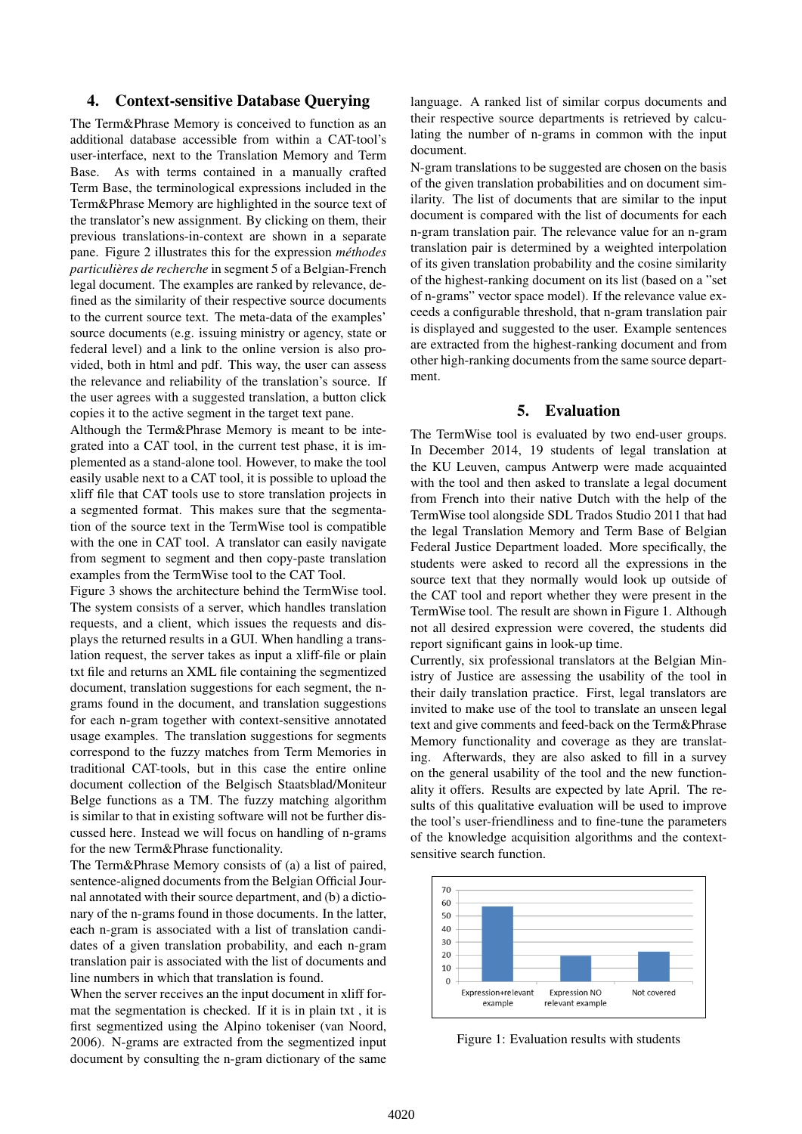# 4. Context-sensitive Database Querying

The Term&Phrase Memory is conceived to function as an additional database accessible from within a CAT-tool's user-interface, next to the Translation Memory and Term Base. As with terms contained in a manually crafted Term Base, the terminological expressions included in the Term&Phrase Memory are highlighted in the source text of the translator's new assignment. By clicking on them, their previous translations-in-context are shown in a separate pane. Figure 2 illustrates this for the expression *methodes ´ particulières de recherche* in segment 5 of a Belgian-French legal document. The examples are ranked by relevance, defined as the similarity of their respective source documents to the current source text. The meta-data of the examples' source documents (e.g. issuing ministry or agency, state or federal level) and a link to the online version is also provided, both in html and pdf. This way, the user can assess the relevance and reliability of the translation's source. If the user agrees with a suggested translation, a button click copies it to the active segment in the target text pane.

Although the Term&Phrase Memory is meant to be integrated into a CAT tool, in the current test phase, it is implemented as a stand-alone tool. However, to make the tool easily usable next to a CAT tool, it is possible to upload the xliff file that CAT tools use to store translation projects in a segmented format. This makes sure that the segmentation of the source text in the TermWise tool is compatible with the one in CAT tool. A translator can easily navigate from segment to segment and then copy-paste translation examples from the TermWise tool to the CAT Tool.

Figure 3 shows the architecture behind the TermWise tool. The system consists of a server, which handles translation requests, and a client, which issues the requests and displays the returned results in a GUI. When handling a translation request, the server takes as input a xliff-file or plain txt file and returns an XML file containing the segmentized document, translation suggestions for each segment, the ngrams found in the document, and translation suggestions for each n-gram together with context-sensitive annotated usage examples. The translation suggestions for segments correspond to the fuzzy matches from Term Memories in traditional CAT-tools, but in this case the entire online document collection of the Belgisch Staatsblad/Moniteur Belge functions as a TM. The fuzzy matching algorithm is similar to that in existing software will not be further discussed here. Instead we will focus on handling of n-grams for the new Term&Phrase functionality.

The Term&Phrase Memory consists of (a) a list of paired, sentence-aligned documents from the Belgian Official Journal annotated with their source department, and (b) a dictionary of the n-grams found in those documents. In the latter, each n-gram is associated with a list of translation candidates of a given translation probability, and each n-gram translation pair is associated with the list of documents and line numbers in which that translation is found.

When the server receives an the input document in xliff format the segmentation is checked. If it is in plain txt , it is first segmentized using the Alpino tokeniser (van Noord, 2006). N-grams are extracted from the segmentized input document by consulting the n-gram dictionary of the same

language. A ranked list of similar corpus documents and their respective source departments is retrieved by calculating the number of n-grams in common with the input document.

N-gram translations to be suggested are chosen on the basis of the given translation probabilities and on document similarity. The list of documents that are similar to the input document is compared with the list of documents for each n-gram translation pair. The relevance value for an n-gram translation pair is determined by a weighted interpolation of its given translation probability and the cosine similarity of the highest-ranking document on its list (based on a "set of n-grams" vector space model). If the relevance value exceeds a configurable threshold, that n-gram translation pair is displayed and suggested to the user. Example sentences are extracted from the highest-ranking document and from other high-ranking documents from the same source department.

# 5. Evaluation

The TermWise tool is evaluated by two end-user groups. In December 2014, 19 students of legal translation at the KU Leuven, campus Antwerp were made acquainted with the tool and then asked to translate a legal document from French into their native Dutch with the help of the TermWise tool alongside SDL Trados Studio 2011 that had the legal Translation Memory and Term Base of Belgian Federal Justice Department loaded. More specifically, the students were asked to record all the expressions in the source text that they normally would look up outside of the CAT tool and report whether they were present in the TermWise tool. The result are shown in Figure 1. Although not all desired expression were covered, the students did report significant gains in look-up time.

Currently, six professional translators at the Belgian Ministry of Justice are assessing the usability of the tool in their daily translation practice. First, legal translators are invited to make use of the tool to translate an unseen legal text and give comments and feed-back on the Term&Phrase Memory functionality and coverage as they are translating. Afterwards, they are also asked to fill in a survey on the general usability of the tool and the new functionality it offers. Results are expected by late April. The results of this qualitative evaluation will be used to improve the tool's user-friendliness and to fine-tune the parameters of the knowledge acquisition algorithms and the contextsensitive search function.



Figure 1: Evaluation results with students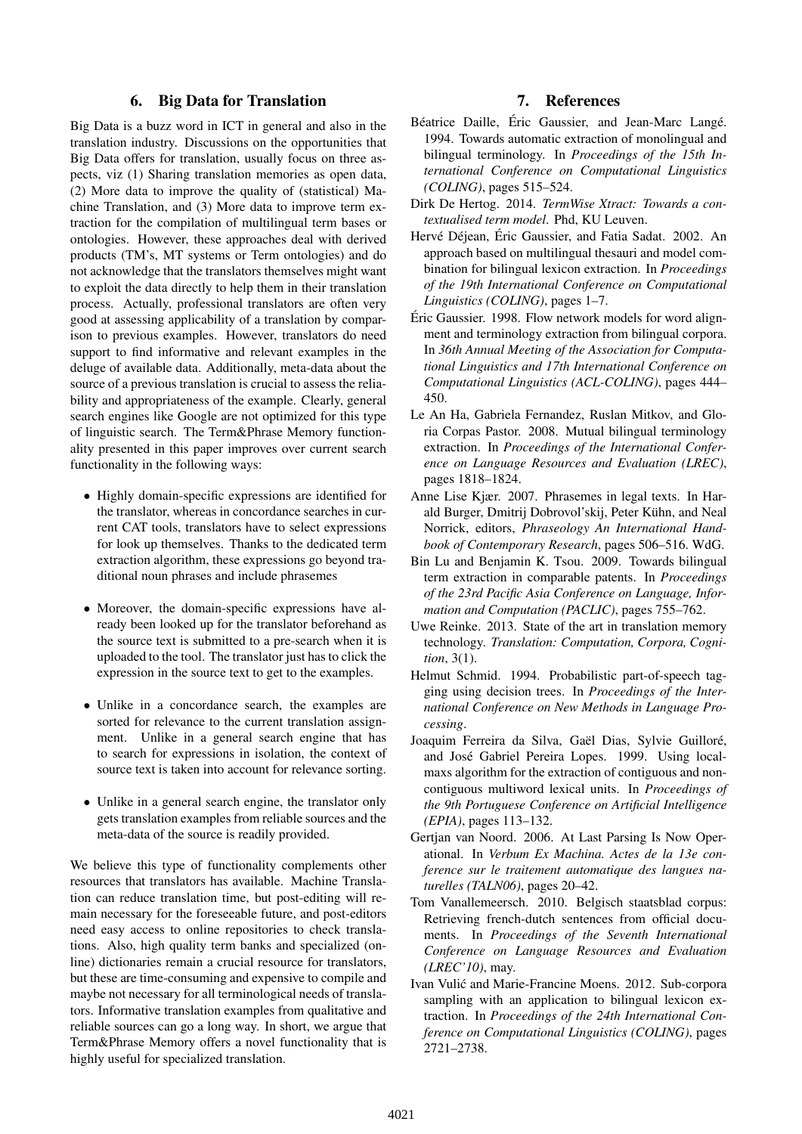# 6. Big Data for Translation

Big Data is a buzz word in ICT in general and also in the translation industry. Discussions on the opportunities that Big Data offers for translation, usually focus on three aspects, viz (1) Sharing translation memories as open data, (2) More data to improve the quality of (statistical) Machine Translation, and (3) More data to improve term extraction for the compilation of multilingual term bases or ontologies. However, these approaches deal with derived products (TM's, MT systems or Term ontologies) and do not acknowledge that the translators themselves might want to exploit the data directly to help them in their translation process. Actually, professional translators are often very good at assessing applicability of a translation by comparison to previous examples. However, translators do need support to find informative and relevant examples in the deluge of available data. Additionally, meta-data about the source of a previous translation is crucial to assess the reliability and appropriateness of the example. Clearly, general search engines like Google are not optimized for this type of linguistic search. The Term&Phrase Memory functionality presented in this paper improves over current search functionality in the following ways:

- Highly domain-specific expressions are identified for the translator, whereas in concordance searches in current CAT tools, translators have to select expressions for look up themselves. Thanks to the dedicated term extraction algorithm, these expressions go beyond traditional noun phrases and include phrasemes
- Moreover, the domain-specific expressions have already been looked up for the translator beforehand as the source text is submitted to a pre-search when it is uploaded to the tool. The translator just has to click the expression in the source text to get to the examples.
- Unlike in a concordance search, the examples are sorted for relevance to the current translation assignment. Unlike in a general search engine that has to search for expressions in isolation, the context of source text is taken into account for relevance sorting.
- Unlike in a general search engine, the translator only gets translation examples from reliable sources and the meta-data of the source is readily provided.

We believe this type of functionality complements other resources that translators has available. Machine Translation can reduce translation time, but post-editing will remain necessary for the foreseeable future, and post-editors need easy access to online repositories to check translations. Also, high quality term banks and specialized (online) dictionaries remain a crucial resource for translators, but these are time-consuming and expensive to compile and maybe not necessary for all terminological needs of translators. Informative translation examples from qualitative and reliable sources can go a long way. In short, we argue that Term&Phrase Memory offers a novel functionality that is highly useful for specialized translation.

# 7. References

- Béatrice Daille, Éric Gaussier, and Jean-Marc Langé. 1994. Towards automatic extraction of monolingual and bilingual terminology. In *Proceedings of the 15th International Conference on Computational Linguistics (COLING)*, pages 515–524.
- Dirk De Hertog. 2014. *TermWise Xtract: Towards a contextualised term model*. Phd, KU Leuven.
- Hervé Déjean, Éric Gaussier, and Fatia Sadat. 2002. An approach based on multilingual thesauri and model combination for bilingual lexicon extraction. In *Proceedings of the 19th International Conference on Computational Linguistics (COLING)*, pages 1–7.
- Eric Gaussier. 1998. Flow network models for word align- ´ ment and terminology extraction from bilingual corpora. In *36th Annual Meeting of the Association for Computational Linguistics and 17th International Conference on Computational Linguistics (ACL-COLING)*, pages 444– 450.
- Le An Ha, Gabriela Fernandez, Ruslan Mitkov, and Gloria Corpas Pastor. 2008. Mutual bilingual terminology extraction. In *Proceedings of the International Conference on Language Resources and Evaluation (LREC)*, pages 1818–1824.
- Anne Lise Kjær. 2007. Phrasemes in legal texts. In Harald Burger, Dmitrij Dobrovol'skij, Peter Kühn, and Neal Norrick, editors, *Phraseology An International Handbook of Contemporary Research*, pages 506–516. WdG.
- Bin Lu and Benjamin K. Tsou. 2009. Towards bilingual term extraction in comparable patents. In *Proceedings of the 23rd Pacific Asia Conference on Language, Information and Computation (PACLIC)*, pages 755–762.
- Uwe Reinke. 2013. State of the art in translation memory technology. *Translation: Computation, Corpora, Cognition*, 3(1).
- Helmut Schmid. 1994. Probabilistic part-of-speech tagging using decision trees. In *Proceedings of the International Conference on New Methods in Language Processing*.
- Joaquim Ferreira da Silva, Gaël Dias, Sylvie Guilloré, and José Gabriel Pereira Lopes. 1999. Using localmaxs algorithm for the extraction of contiguous and noncontiguous multiword lexical units. In *Proceedings of the 9th Portuguese Conference on Artificial Intelligence (EPIA)*, pages 113–132.
- Gertjan van Noord. 2006. At Last Parsing Is Now Operational. In *Verbum Ex Machina. Actes de la 13e conference sur le traitement automatique des langues naturelles (TALN06)*, pages 20–42.
- Tom Vanallemeersch. 2010. Belgisch staatsblad corpus: Retrieving french-dutch sentences from official documents. In *Proceedings of the Seventh International Conference on Language Resources and Evaluation (LREC'10)*, may.
- Ivan Vulic and Marie-Francine Moens. 2012. Sub-corpora ´ sampling with an application to bilingual lexicon extraction. In *Proceedings of the 24th International Conference on Computational Linguistics (COLING)*, pages 2721–2738.